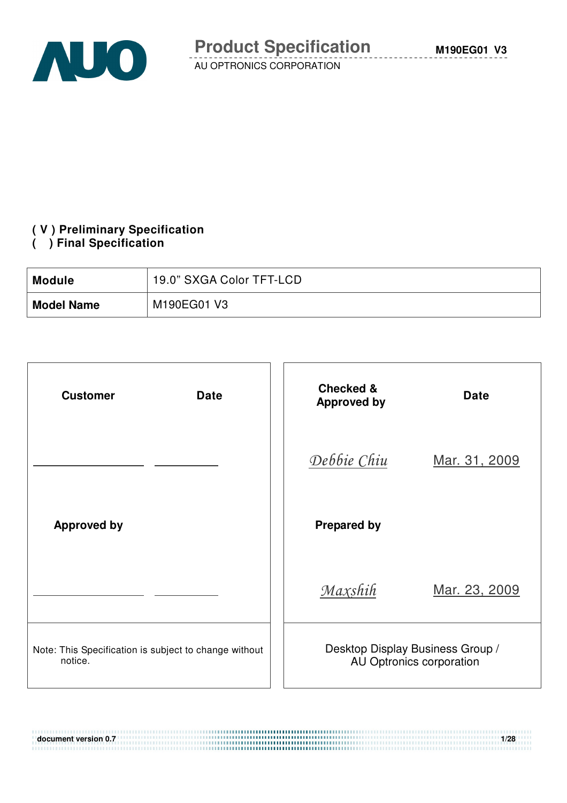

# **( V ) Preliminary Specification**

#### **( ) Final Specification**

| <b>Module</b>     | 19.0" SXGA Color TFT-LCD |
|-------------------|--------------------------|
| <b>Model Name</b> | M190EG01 V3              |

| <b>Customer</b><br><b>Date</b>                                   | <b>Checked &amp;</b><br><b>Date</b><br><b>Approved by</b>    |
|------------------------------------------------------------------|--------------------------------------------------------------|
|                                                                  | Debbie Chiu<br>Mar. 31, 2009                                 |
| <b>Approved by</b>                                               | <b>Prepared by</b>                                           |
|                                                                  | Maxshih<br>Mar. 23, 2009                                     |
| Note: This Specification is subject to change without<br>notice. | Desktop Display Business Group /<br>AU Optronics corporation |

**document version 0.7** 1/28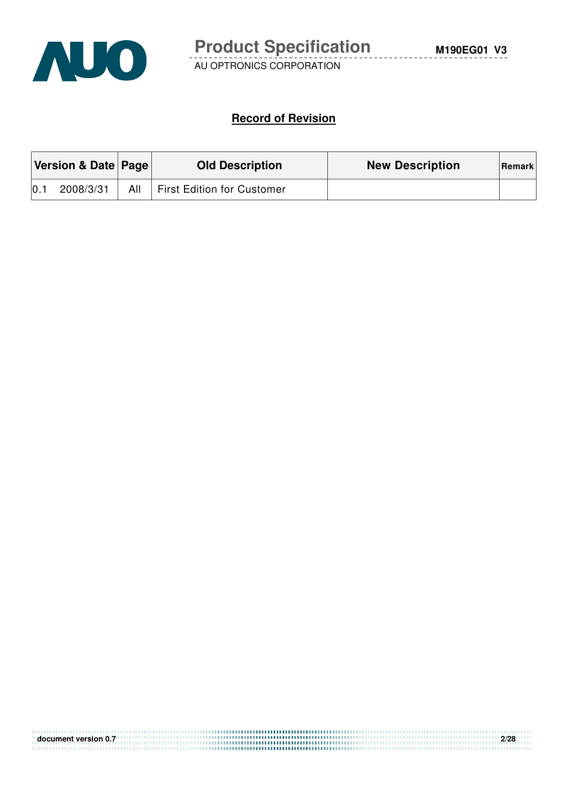

#### **Record of Revision**

|     | Version & Date Page<br><b>Old Description</b> |     |                                   | <b>New Description</b> | Remark |
|-----|-----------------------------------------------|-----|-----------------------------------|------------------------|--------|
| 0.1 | 2008/3/31                                     | All | <b>First Edition for Customer</b> |                        |        |

| document version 0.7 | 2/28 |
|----------------------|------|
|                      |      |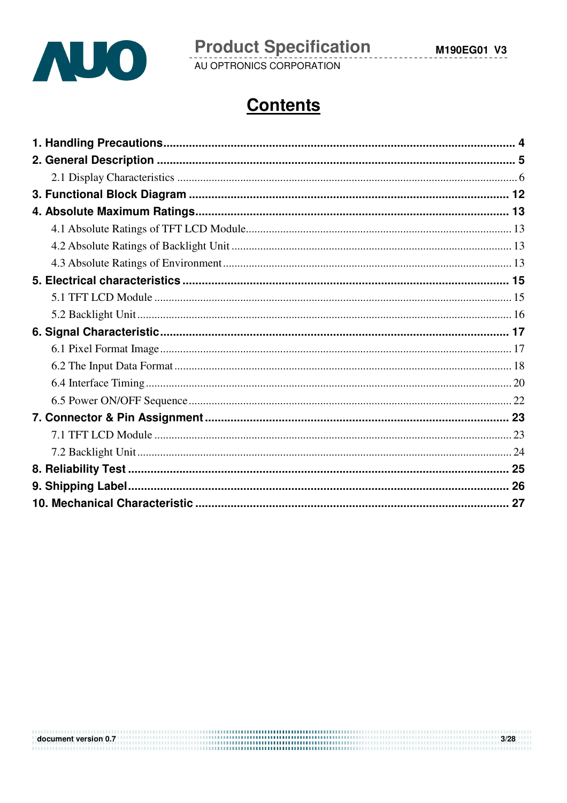

**Product Specification**<br>AU OPTRONICS CORPORATION

 $3/28$ 

# **Contents**

document version 0.7 **and 2.0** and 2.0 and 2.0 and 2.0 and 2.0 and 2.0 and 2.0 and 2.0 and 2.0 and 2.0 and 2.0 and 2.0 and 2.0 and 2.0 and 2.0 and 2.0 and 2.0 and 2.0 and 2.0 and 2.0 and 2.0 and 2.0 and 2.0 and 2.0 and 2.0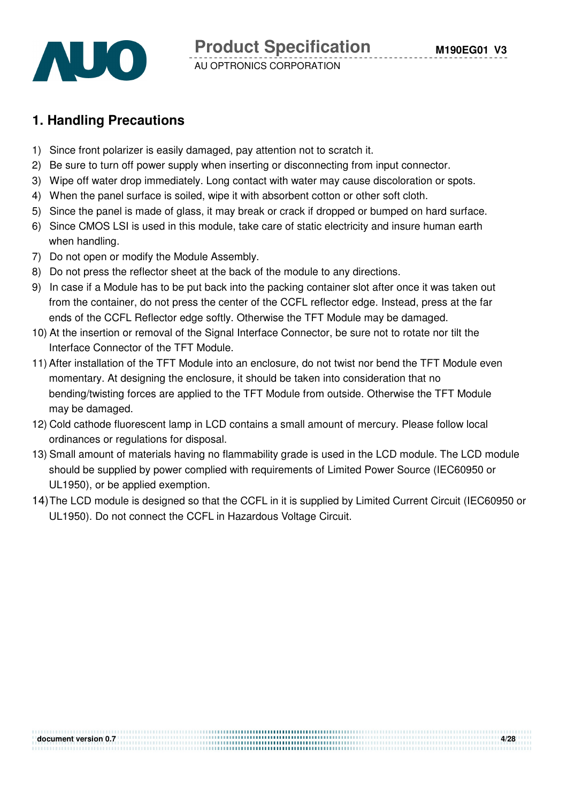

## **1. Handling Precautions**

- 1) Since front polarizer is easily damaged, pay attention not to scratch it.
- 2) Be sure to turn off power supply when inserting or disconnecting from input connector.
- 3) Wipe off water drop immediately. Long contact with water may cause discoloration or spots.
- 4) When the panel surface is soiled, wipe it with absorbent cotton or other soft cloth.
- 5) Since the panel is made of glass, it may break or crack if dropped or bumped on hard surface.
- 6) Since CMOS LSI is used in this module, take care of static electricity and insure human earth when handling.
- 7) Do not open or modify the Module Assembly.
- 8) Do not press the reflector sheet at the back of the module to any directions.
- 9) In case if a Module has to be put back into the packing container slot after once it was taken out from the container, do not press the center of the CCFL reflector edge. Instead, press at the far ends of the CCFL Reflector edge softly. Otherwise the TFT Module may be damaged.
- 10) At the insertion or removal of the Signal Interface Connector, be sure not to rotate nor tilt the Interface Connector of the TFT Module.
- 11) After installation of the TFT Module into an enclosure, do not twist nor bend the TFT Module even momentary. At designing the enclosure, it should be taken into consideration that no bending/twisting forces are applied to the TFT Module from outside. Otherwise the TFT Module may be damaged.
- 12) Cold cathode fluorescent lamp in LCD contains a small amount of mercury. Please follow local ordinances or regulations for disposal.
- 13) Small amount of materials having no flammability grade is used in the LCD module. The LCD module should be supplied by power complied with requirements of Limited Power Source (IEC60950 or UL1950), or be applied exemption.
- 14) The LCD module is designed so that the CCFL in it is supplied by Limited Current Circuit (IEC60950 or UL1950). Do not connect the CCFL in Hazardous Voltage Circuit.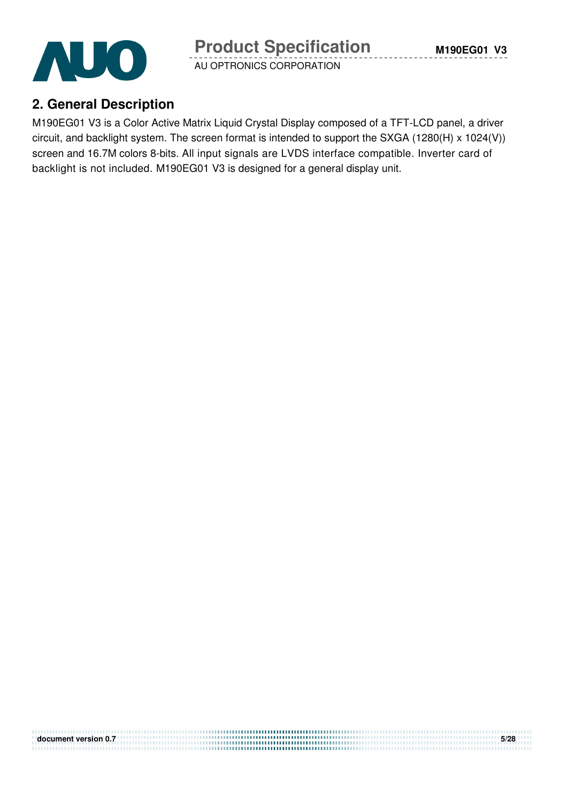

# **2. General Description**

M190EG01 V3 is a Color Active Matrix Liquid Crystal Display composed of a TFT-LCD panel, a driver circuit, and backlight system. The screen format is intended to support the SXGA (1280(H) x 1024(V)) screen and 16.7M colors 8-bits. All input signals are LVDS interface compatible. Inverter card of backlight is not included. M190EG01 V3 is designed for a general display unit.

| document version 0.7 | 5/28 |
|----------------------|------|
|                      |      |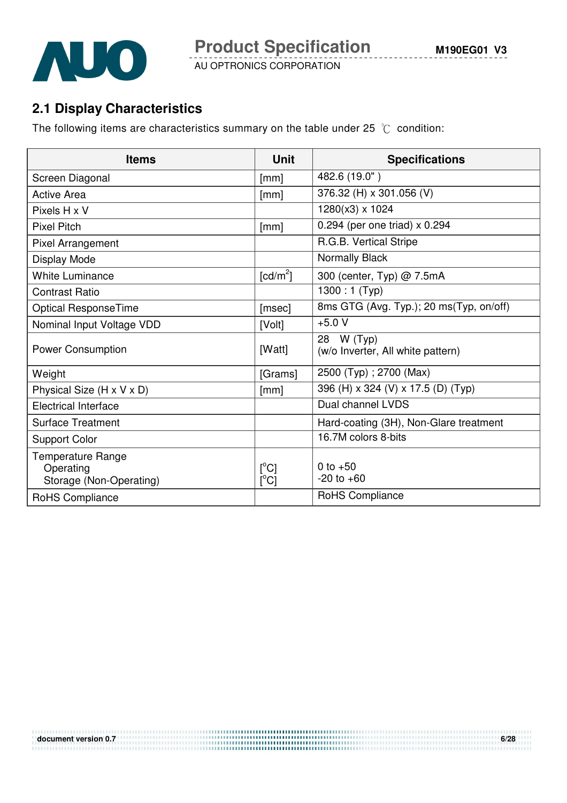

**M190EG01 V3**



AU OPTRONICS CORPORATION

## **2.1 Display Characteristics**

The following items are characteristics summary on the table under 25  $\degree$ C condition:

| <b>Items</b>                                                     | <b>Unit</b>                       | <b>Specifications</b>                           |
|------------------------------------------------------------------|-----------------------------------|-------------------------------------------------|
| Screen Diagonal                                                  | [mm]                              | 482.6 (19.0")                                   |
| <b>Active Area</b>                                               | [mm]                              | 376.32 (H) x 301.056 (V)                        |
| Pixels H x V                                                     |                                   | 1280(x3) x 1024                                 |
| <b>Pixel Pitch</b>                                               | [mm]                              | 0.294 (per one triad) $\times$ 0.294            |
| Pixel Arrangement                                                |                                   | R.G.B. Vertical Stripe                          |
| Display Mode                                                     |                                   | Normally Black                                  |
| <b>White Luminance</b>                                           | $\lceil cd/m^2 \rceil$            | 300 (center, Typ) @ 7.5mA                       |
| <b>Contrast Ratio</b>                                            |                                   | 1300 : 1 (Typ)                                  |
| Optical ResponseTime                                             | [msec]                            | 8ms GTG (Avg. Typ.); 20 ms(Typ, on/off)         |
| Nominal Input Voltage VDD                                        | [Volt]                            | $+5.0V$                                         |
| <b>Power Consumption</b>                                         | [Watt]                            | 28 W (Typ)<br>(w/o Inverter, All white pattern) |
| Weight                                                           | [Grams]                           | 2500 (Typ); 2700 (Max)                          |
| Physical Size (H x V x D)                                        | [mm]                              | 396 (H) x 324 (V) x 17.5 (D) (Typ)              |
| <b>Electrical Interface</b>                                      |                                   | Dual channel LVDS                               |
| <b>Surface Treatment</b>                                         |                                   | Hard-coating (3H), Non-Glare treatment          |
| <b>Support Color</b>                                             |                                   | 16.7M colors 8-bits                             |
| <b>Temperature Range</b><br>Operating<br>Storage (Non-Operating) | $\lceil{^{\circ}C}\rceil$<br>[°C] | 0 to $+50$<br>$-20$ to $+60$                    |
| RoHS Compliance                                                  |                                   | RoHS Compliance                                 |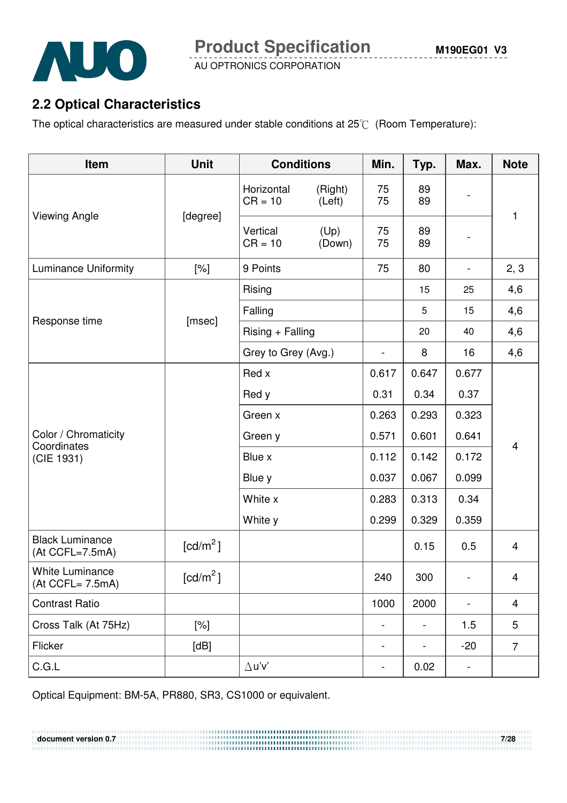

**Product Specification** 

**M190EG01 V3**

AU OPTRONICS CORPORATION

# **2.2 Optical Characteristics**

The optical characteristics are measured under stable conditions at  $25^{\circ}$  (Room Temperature):

| Item                                       | <b>Unit</b>          | <b>Conditions</b>       |                   | Min.                     | Typ.           | Max.                     | <b>Note</b>             |
|--------------------------------------------|----------------------|-------------------------|-------------------|--------------------------|----------------|--------------------------|-------------------------|
| <b>Viewing Angle</b>                       | [degree]             | Horizontal<br>$CR = 10$ | (Right)<br>(Left) | 75<br>75                 | 89<br>89       |                          | $\mathbf{1}$            |
|                                            |                      | Vertical<br>$CR = 10$   | (Up)<br>(Down)    | 75<br>75                 | 89<br>89       |                          |                         |
| <b>Luminance Uniformity</b>                | [%]                  | 9 Points                |                   | 75                       | 80             |                          | 2, 3                    |
|                                            |                      | Rising                  |                   |                          | 15             | 25                       | 4,6                     |
| Response time                              | [msec]               | Falling                 |                   |                          | 5              | 15                       | 4,6                     |
|                                            |                      | $Rising + Falling$      |                   |                          | 20             | 40                       | 4,6                     |
|                                            |                      | Grey to Grey (Avg.)     |                   | $\overline{\phantom{0}}$ | 8              | 16                       | 4,6                     |
|                                            |                      | Red x                   |                   | 0.617                    | 0.647          | 0.677                    |                         |
|                                            |                      | Red y                   |                   | 0.31                     | 0.34           | 0.37                     |                         |
|                                            |                      | Green x                 | 0.263<br>0.293    |                          | 0.323          |                          |                         |
| Color / Chromaticity<br>Coordinates        |                      | Green y                 |                   | 0.571                    | 0.601          | 0.641                    | $\overline{\mathbf{4}}$ |
| (CIE 1931)                                 |                      | Blue x                  |                   | 0.112                    | 0.142          | 0.172                    |                         |
|                                            |                      | Blue y                  |                   | 0.037                    | 0.067          | 0.099                    |                         |
|                                            |                      | White x                 |                   | 0.283                    | 0.313          | 0.34                     |                         |
|                                            |                      | White y                 |                   | 0.299                    | 0.329          | 0.359                    |                         |
| <b>Black Luminance</b><br>(At CCFL=7.5mA)  | [cd/m <sup>2</sup> ] |                         |                   |                          | 0.15           | 0.5                      | $\overline{\mathbf{4}}$ |
| <b>White Luminance</b><br>(At CCFL= 7.5mA) | [cd/m <sup>2</sup> ] |                         |                   | 240                      | 300            |                          | 4                       |
| <b>Contrast Ratio</b>                      |                      |                         |                   | 1000                     | 2000           | $\overline{\phantom{0}}$ | 4                       |
| Cross Talk (At 75Hz)                       | [%]                  |                         |                   | $\blacksquare$           | $\blacksquare$ | 1.5                      | 5                       |
| Flicker                                    | [dB]                 |                         |                   | $\blacksquare$           |                | $-20$                    | $\overline{7}$          |
| C.G.L                                      |                      | $\Delta$ u'v'           |                   | -                        | 0.02           | $\overline{\phantom{a}}$ |                         |

Optical Equipment: BM-5A, PR880, SR3, CS1000 or equivalent.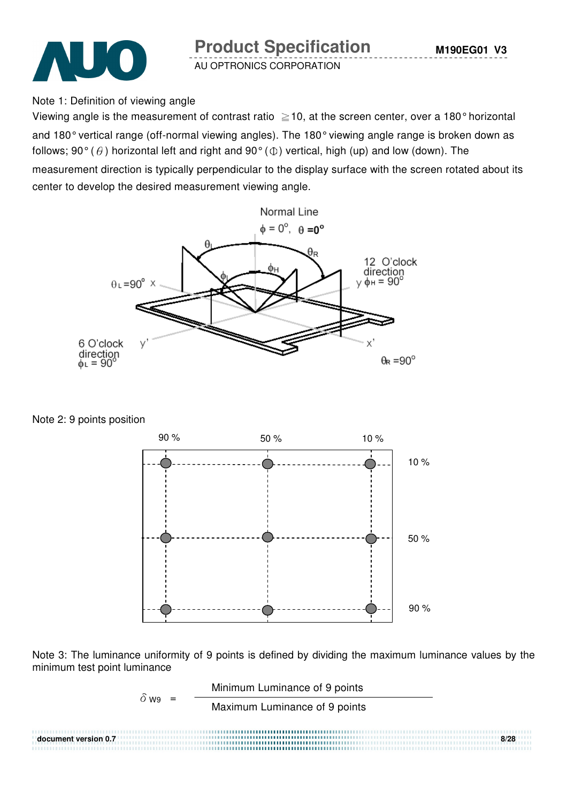



Note 1: Definition of viewing angle

Viewing angle is the measurement of contrast ratio  $\geq$  10, at the screen center, over a 180° horizontal and 180° vertical range (off-normal viewing angles). The 180° viewing angle range is broken down as follows; 90° ( $\theta$ ) horizontal left and right and 90° ( $\Phi$ ) vertical, high (up) and low (down). The

measurement direction is typically perpendicular to the display surface with the screen rotated about its center to develop the desired measurement viewing angle.



Note 2: 9 points position



Note 3: The luminance uniformity of 9 points is defined by dividing the maximum luminance values by the minimum test point luminance

$$
\delta_{W9} = \frac{\text{Minimum Luminance of 9 points}}{\text{Maximum Luminance of 9 points}}
$$
\ndocument version 0.7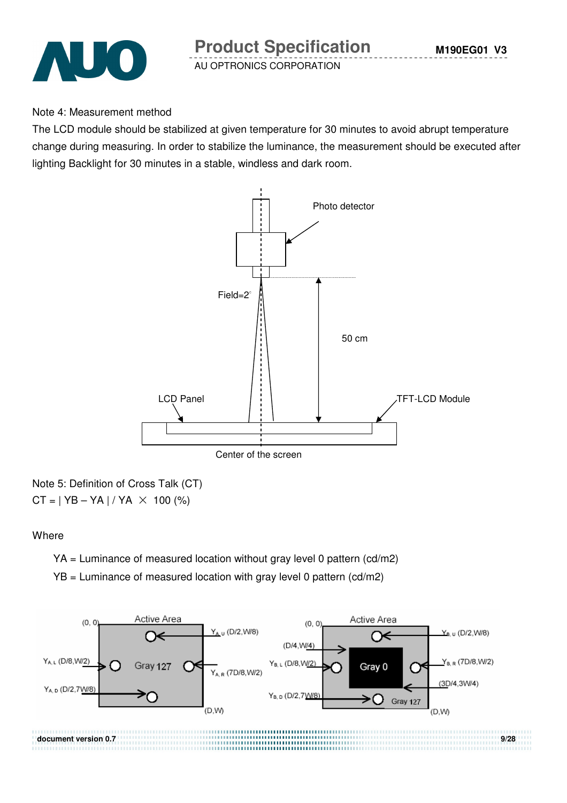

#### Note 4: Measurement method

The LCD module should be stabilized at given temperature for 30 minutes to avoid abrupt temperature change during measuring. In order to stabilize the luminance, the measurement should be executed after lighting Backlight for 30 minutes in a stable, windless and dark room.



Note 5: Definition of Cross Talk (CT)  $CT = | YB - YA | / YA \times 100 (%)$ 

#### **Where**

YA = Luminance of measured location without gray level 0 pattern (cd/m2)

 $YB =$  Luminance of measured location with gray level 0 pattern (cd/m2)

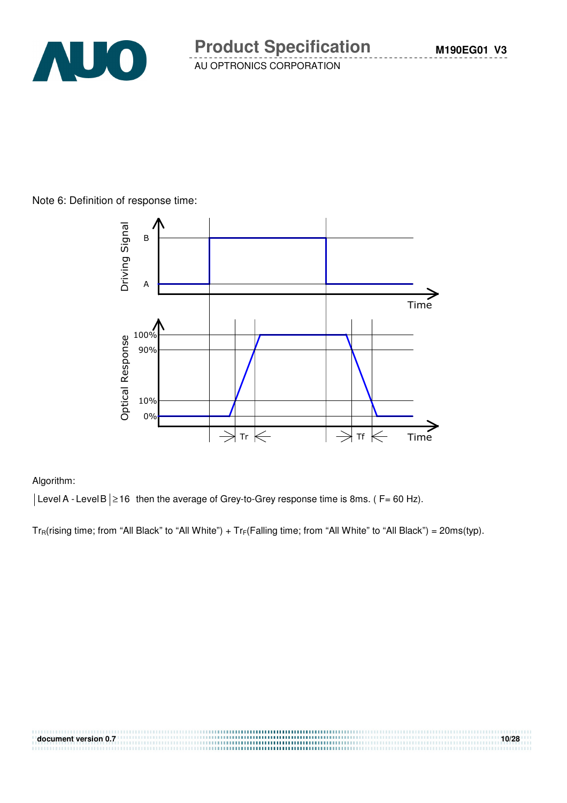

#### Note 6: Definition of response time:



#### Algorithm:

 $|\text{Level A - Level B}| \ge 16$  then the average of Grey-to-Grey response time is 8ms. (F= 60 Hz).

 $Tr_R(rising time; from "All Black" to "All White") + Tr_F(Falling time; from "All White" to "All Black") = 20ms(typ).$ 

| document version 0.7 | 10/28 |
|----------------------|-------|
|                      |       |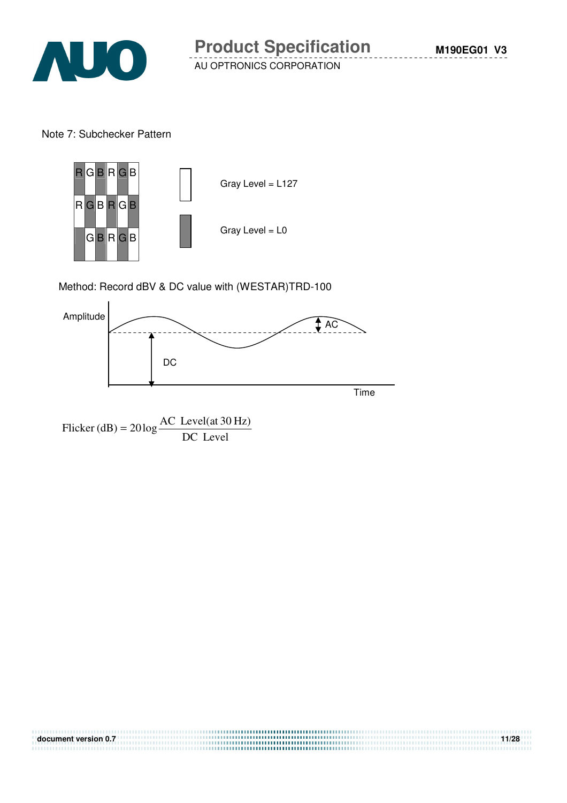

Note 7: Subchecker Pattern



Method: Record dBV & DC value with (WESTAR)TRD-100



Flicker (dB) =  $20 \log \frac{1000 \text{ GeV}}{DC}$  Level Flicker (dB) =  $20 \log \frac{\text{AC Level(at 30 Hz)}}{\text{DG L}}$ 

**document version 0.7 11/28**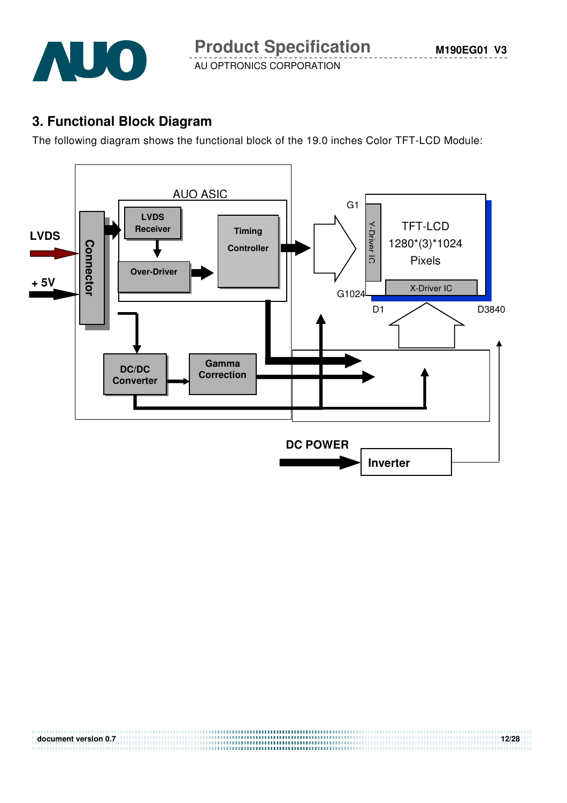

**M190EG01 V3**

AU OPTRONICS CORPORATION

# **3. Functional Block Diagram**

The following diagram shows the functional block of the 19.0 inches Color TFT-LCD Module:



**document version 0.7 12/28**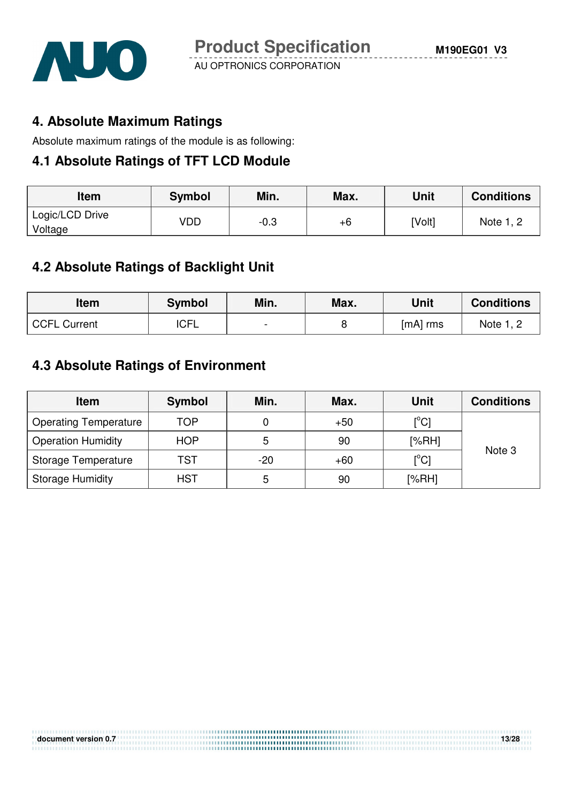

### **4. Absolute Maximum Ratings**

Absolute maximum ratings of the module is as following:

#### **4.1 Absolute Ratings of TFT LCD Module**

| Item                       | <b>Symbol</b> | Min.   | Max. | Unit   | <b>Conditions</b> |
|----------------------------|---------------|--------|------|--------|-------------------|
| Logic/LCD Drive<br>Voltage | VDD           | $-0.3$ | $+6$ | [Volt] | Note 1, 2         |

### **4.2 Absolute Ratings of Backlight Unit**

| <b>Item</b>         | <b>Symbol</b> | Min.           | Max. | Unit       | <b>Conditions</b> |
|---------------------|---------------|----------------|------|------------|-------------------|
| <b>CCFL Current</b> | <b>ICFL</b>   | $\blacksquare$ |      | $[mA]$ rms | Note 1, 2         |

# **4.3 Absolute Ratings of Environment**

| <b>Item</b>                  | <b>Symbol</b> | Min. | Max.  | <b>Unit</b>                | <b>Conditions</b> |  |
|------------------------------|---------------|------|-------|----------------------------|-------------------|--|
| <b>Operating Temperature</b> | TOP           |      | $+50$ | $\mathop{\rm [^{\circ}Cl}$ | Note 3            |  |
| <b>Operation Humidity</b>    | <b>HOP</b>    | 5    | 90    | [%RH]                      |                   |  |
| Storage Temperature          | TST           | -20  | $+60$ | $\mathop{\rm l}{\rm ^oCl}$ |                   |  |
| <b>Storage Humidity</b>      | <b>HST</b>    | 5    | 90    | [%RH]                      |                   |  |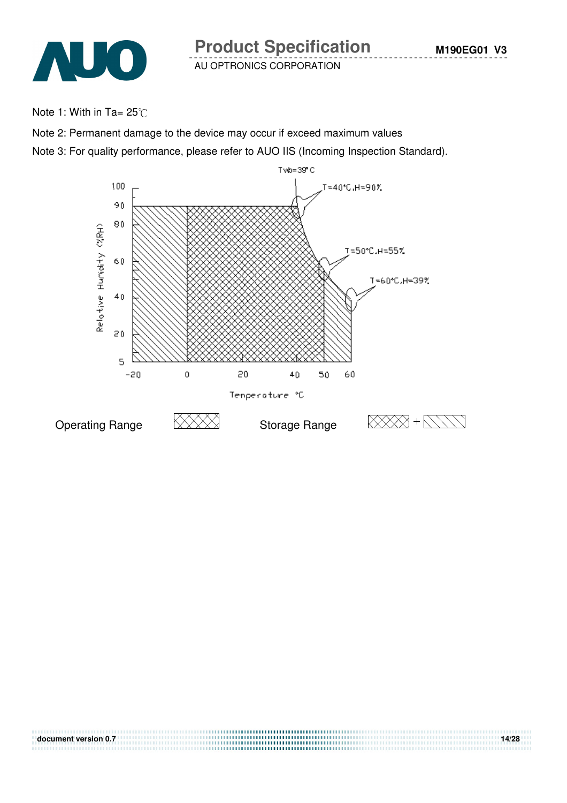

Note 1: With in Ta=  $25^{\circ}$ C

Note 2: Permanent damage to the device may occur if exceed maximum values

Note 3: For quality performance, please refer to AUO IIS (Incoming Inspection Standard).

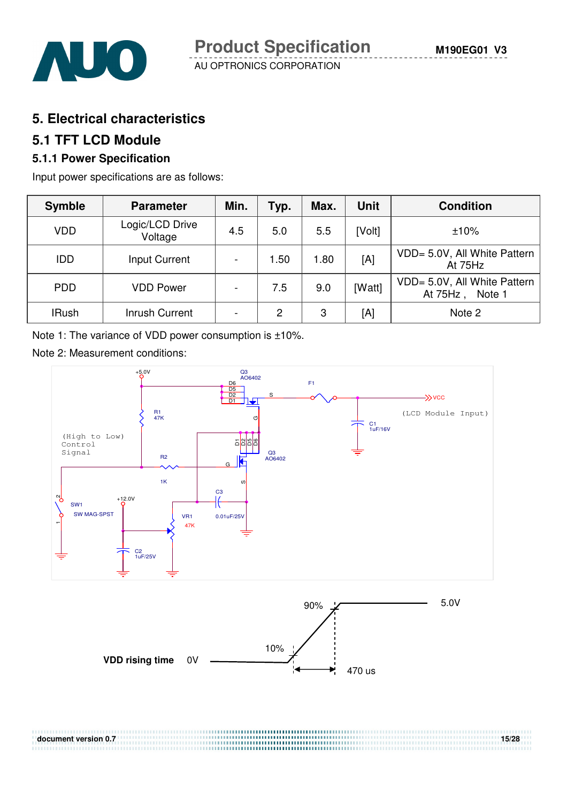

### **5. Electrical characteristics**

#### **5.1 TFT LCD Module**

### **5.1.1 Power Specification**

Input power specifications are as follows:

| <b>Symble</b> | <b>Parameter</b>           | Min.                     | Typ. | Max. | <b>Unit</b> | <b>Condition</b>                                      |
|---------------|----------------------------|--------------------------|------|------|-------------|-------------------------------------------------------|
| <b>VDD</b>    | Logic/LCD Drive<br>Voltage | 4.5                      | 5.0  | 5.5  | [Volt]      | ±10%                                                  |
| <b>IDD</b>    | Input Current              | $\overline{\phantom{a}}$ | 1.50 | 1.80 | [A]         | VDD= 5.0V, All White Pattern<br>At 75Hz               |
| <b>PDD</b>    | <b>VDD Power</b>           | $\blacksquare$           | 7.5  | 9.0  | [Watt]      | VDD= 5.0V, All White Pattern<br>At $75Hz$ ,<br>Note 1 |
| <b>IRush</b>  | Inrush Current             | $\overline{\phantom{a}}$ | 2    | 3    | [A]         | Note 2                                                |

Note 1: The variance of VDD power consumption is ±10%.

Note 2: Measurement conditions:



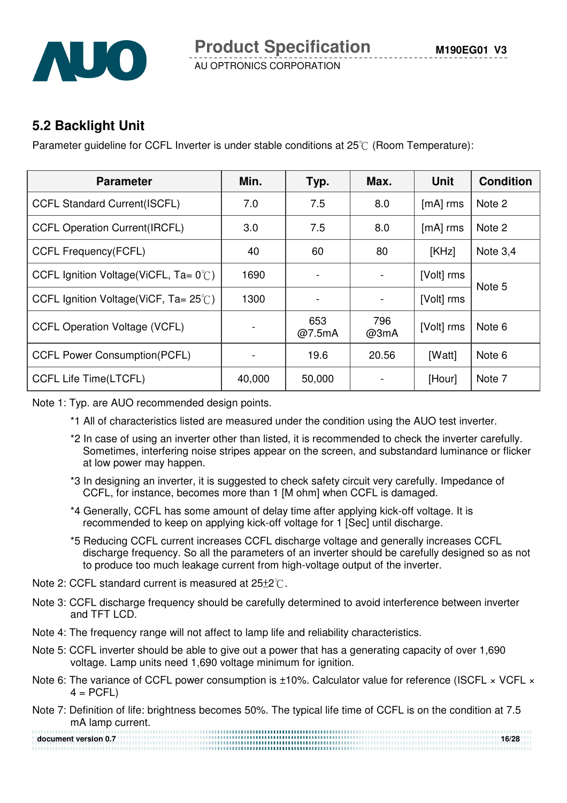

### **5.2 Backlight Unit**

Parameter quideline for CCFL Inverter is under stable conditions at  $25\degree$  (Room Temperature):

| <b>Parameter</b>                                 | Min.   | Typ.           | Max.        | <b>Unit</b> | <b>Condition</b> |
|--------------------------------------------------|--------|----------------|-------------|-------------|------------------|
| <b>CCFL Standard Current(ISCFL)</b>              | 7.0    | 7.5            | 8.0         | $[mA]$ rms  | Note 2           |
| <b>CCFL Operation Current (IRCFL)</b>            | 3.0    | 7.5            | 8.0         | $[mA]$ rms  | Note 2           |
| <b>CCFL Frequency(FCFL)</b>                      | 40     | 60             | 80          | [KHz]       | Note $3,4$       |
| CCFL Ignition Voltage(ViCFL, $Ta = 0^{\circ}$ C) | 1690   |                |             | [Volt] rms  | Note 5           |
| CCFL Ignition Voltage(ViCF, $Ta = 25^{\circ}$ C) | 1300   | $\overline{a}$ |             | [Volt] rms  |                  |
| <b>CCFL Operation Voltage (VCFL)</b>             |        | 653<br>@7.5mA  | 796<br>@3mA | [Volt] rms  | Note 6           |
| <b>CCFL Power Consumption(PCFL)</b>              |        | 19.6           | 20.56       | [Watt]      | Note 6           |
| <b>CCFL Life Time(LTCFL)</b>                     | 40,000 | 50,000         |             | [Hour]      | Note 7           |

Note 1: Typ. are AUO recommended design points.

- \*1 All of characteristics listed are measured under the condition using the AUO test inverter.
- \*2 In case of using an inverter other than listed, it is recommended to check the inverter carefully. Sometimes, interfering noise stripes appear on the screen, and substandard luminance or flicker at low power may happen.
- \*3 In designing an inverter, it is suggested to check safety circuit very carefully. Impedance of CCFL, for instance, becomes more than 1 [M ohm] when CCFL is damaged.
- \*4 Generally, CCFL has some amount of delay time after applying kick-off voltage. It is recommended to keep on applying kick-off voltage for 1 [Sec] until discharge.
- \*5 Reducing CCFL current increases CCFL discharge voltage and generally increases CCFL discharge frequency. So all the parameters of an inverter should be carefully designed so as not to produce too much leakage current from high-voltage output of the inverter.
- Note 2: CCFL standard current is measured at  $25\pm2^{\circ}$ .
- Note 3: CCFL discharge frequency should be carefully determined to avoid interference between inverter and TFT LCD.
- Note 4: The frequency range will not affect to lamp life and reliability characteristics.
- Note 5: CCFL inverter should be able to give out a power that has a generating capacity of over 1,690 voltage. Lamp units need 1,690 voltage minimum for ignition.
- Note 6: The variance of CCFL power consumption is ±10%. Calculator value for reference (ISCFL × VCFL ×  $4 = PCFL$
- Note 7: Definition of life: brightness becomes 50%. The typical life time of CCFL is on the condition at 7.5 mA lamp current.

**document version 0.7** 16/28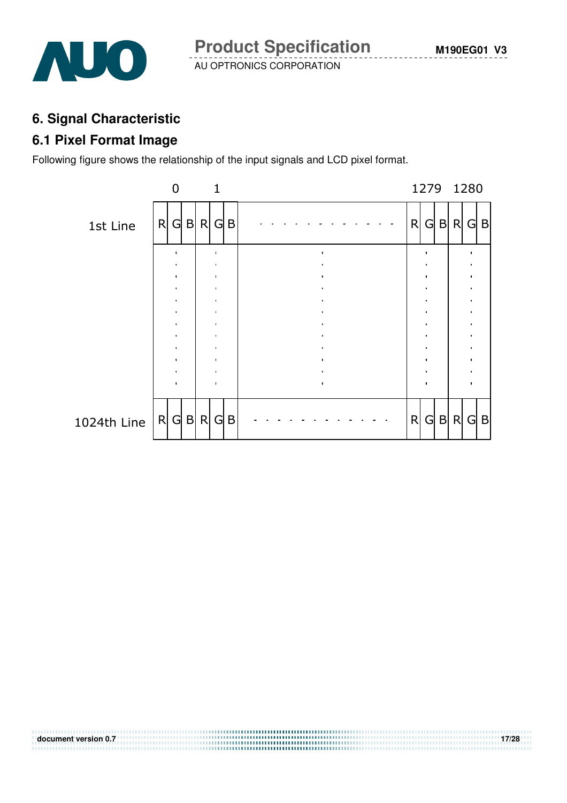

### **6. Signal Characteristic**

### **6.1 Pixel Format Image**

Following figure shows the relationship of the input signals and LCD pixel format.



**document version 0.7** 17/28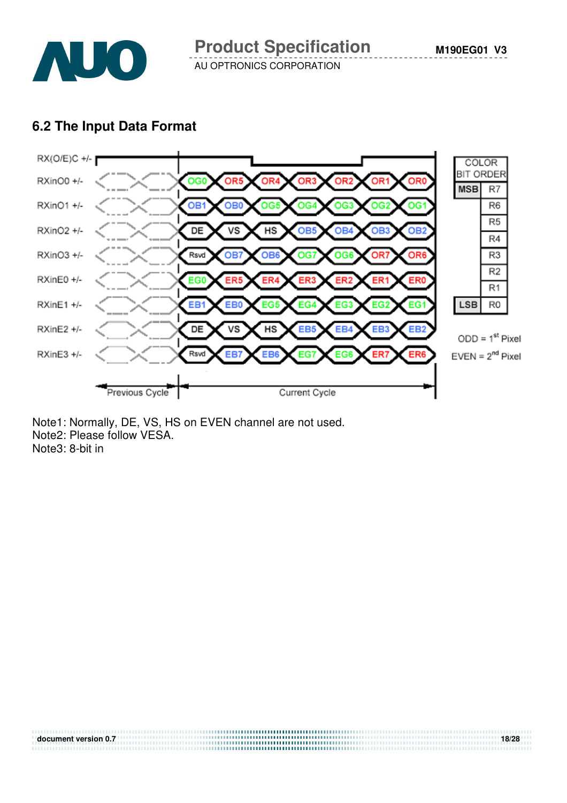

### **6.2 The Input Data Format**



**document version 0.7** 18/28

Note1: Normally, DE, VS, HS on EVEN channel are not used. Note2: Please follow VESA. Note3: 8-bit in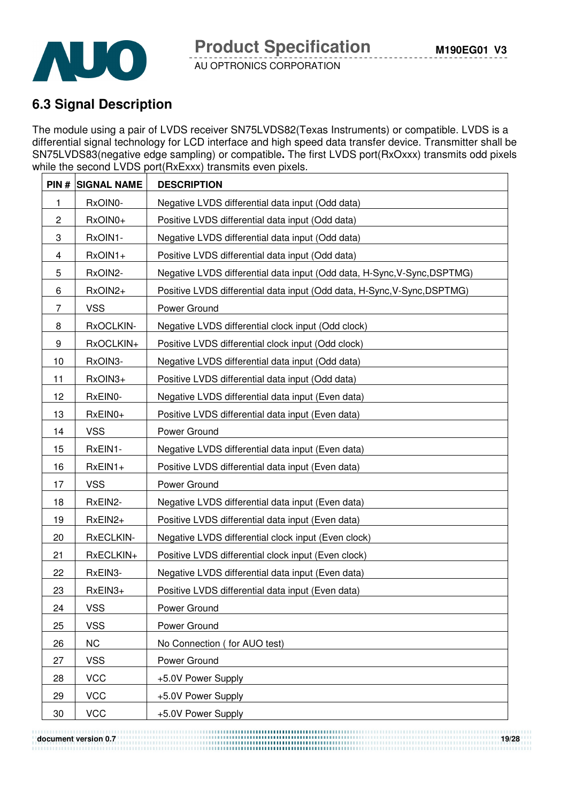

# **6.3 Signal Description**

The module using a pair of LVDS receiver SN75LVDS82(Texas Instruments) or compatible. LVDS is a differential signal technology for LCD interface and high speed data transfer device. Transmitter shall be SN75LVDS83(negative edge sampling) or compatible**.** The first LVDS port(RxOxxx) transmits odd pixels while the second LVDS port(RxExxx) transmits even pixels.

|                | <b>PIN # SIGNAL NAME</b> | <b>DESCRIPTION</b>                                                       |
|----------------|--------------------------|--------------------------------------------------------------------------|
| 1              | RxOIN0-                  | Negative LVDS differential data input (Odd data)                         |
| $\overline{c}$ | RxOIN0+                  | Positive LVDS differential data input (Odd data)                         |
| 3              | RxOIN1-                  | Negative LVDS differential data input (Odd data)                         |
| 4              | RxOIN1+                  | Positive LVDS differential data input (Odd data)                         |
| 5              | RxOIN2-                  | Negative LVDS differential data input (Odd data, H-Sync, V-Sync, DSPTMG) |
| 6              | RxOIN2+                  | Positive LVDS differential data input (Odd data, H-Sync, V-Sync, DSPTMG) |
| 7              | <b>VSS</b>               | Power Ground                                                             |
| 8              | RxOCLKIN-                | Negative LVDS differential clock input (Odd clock)                       |
| 9              | RxOCLKIN+                | Positive LVDS differential clock input (Odd clock)                       |
| 10             | RxOIN3-                  | Negative LVDS differential data input (Odd data)                         |
| 11             | RxOIN3+                  | Positive LVDS differential data input (Odd data)                         |
| 12             | RxEIN0-                  | Negative LVDS differential data input (Even data)                        |
| 13             | RxEIN0+                  | Positive LVDS differential data input (Even data)                        |
| 14             | <b>VSS</b>               | Power Ground                                                             |
| 15             | RxEIN1-                  | Negative LVDS differential data input (Even data)                        |
| 16             | $RxEIN1+$                | Positive LVDS differential data input (Even data)                        |
| 17             | <b>VSS</b>               | Power Ground                                                             |
| 18             | RxEIN2-                  | Negative LVDS differential data input (Even data)                        |
| 19             | RxEIN2+                  | Positive LVDS differential data input (Even data)                        |
| 20             | RxECLKIN-                | Negative LVDS differential clock input (Even clock)                      |
| 21             | RxECLKIN+                | Positive LVDS differential clock input (Even clock)                      |
| 22             | RxEIN3-                  | Negative LVDS differential data input (Even data)                        |
| 23             | RxEIN3+                  | Positive LVDS differential data input (Even data)                        |
| 24             | <b>VSS</b>               | Power Ground                                                             |
| 25             | <b>VSS</b>               | Power Ground                                                             |
| 26             | <b>NC</b>                | No Connection (for AUO test)                                             |
| 27             | <b>VSS</b>               | Power Ground                                                             |
| 28             | <b>VCC</b>               | +5.0V Power Supply                                                       |
| 29             | <b>VCC</b>               | +5.0V Power Supply                                                       |
| 30             | <b>VCC</b>               | +5.0V Power Supply                                                       |

**document version 0.7** 19/28<br> **document version 0.7**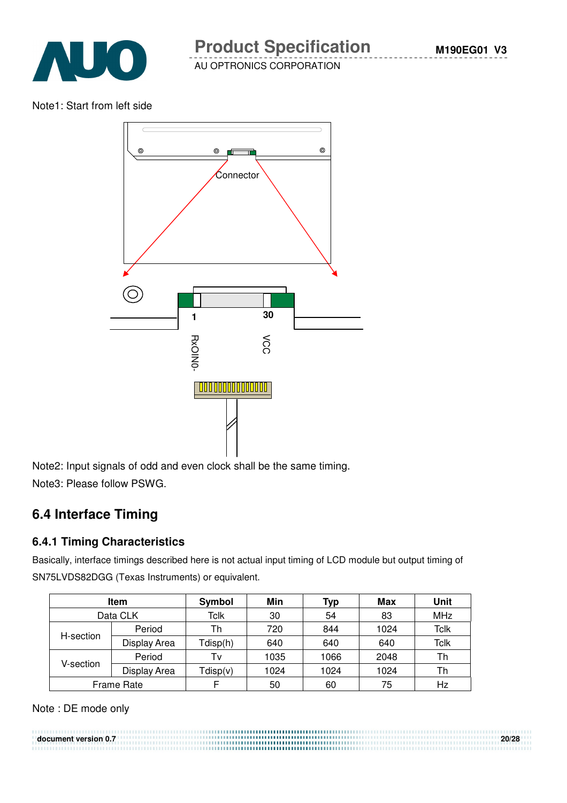

Note1: Start from left side



Note2: Input signals of odd and even clock shall be the same timing. Note3: Please follow PSWG.

# **6.4 Interface Timing**

#### **6.4.1 Timing Characteristics**

Basically, interface timings described here is not actual input timing of LCD module but output timing of SN75LVDS82DGG (Texas Instruments) or equivalent.

| Item       |              | Symbol   | Min  | Typ  | Max  | Unit       |
|------------|--------------|----------|------|------|------|------------|
| Data CLK   |              | Tclk     | 30   | 54   | 83   | <b>MHz</b> |
| H-section  | Period       | Th       | 720  | 844  | 1024 | Tclk       |
|            | Display Area | Tdisp(h) | 640  | 640  | 640  | Tclk       |
| V-section. | Period       | Tv       | 1035 | 1066 | 2048 | Th         |
|            | Display Area | Tdisp(v) | 1024 | 1024 | 1024 | Th         |
| Frame Rate |              |          | 50   | 60   | 75   | Hz         |

Note : DE mode only

**document version 0.7 20/28**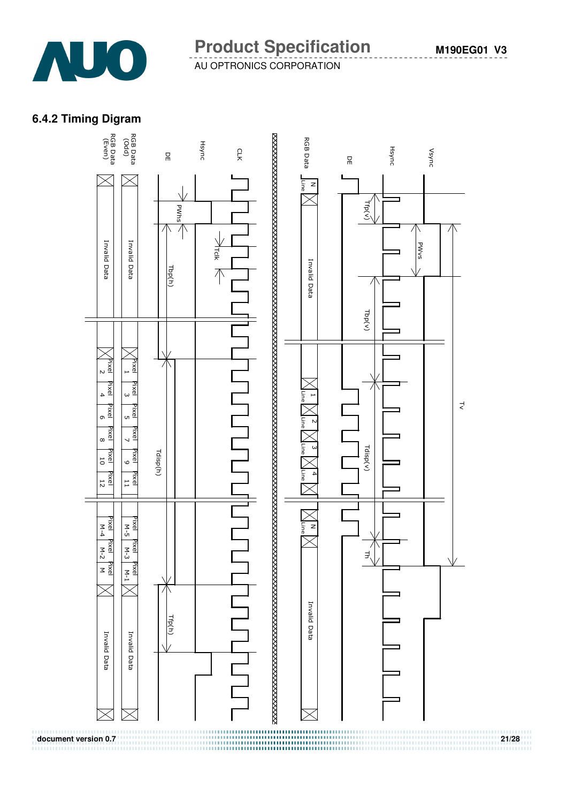

#### **6.4.2 Timing Digram**

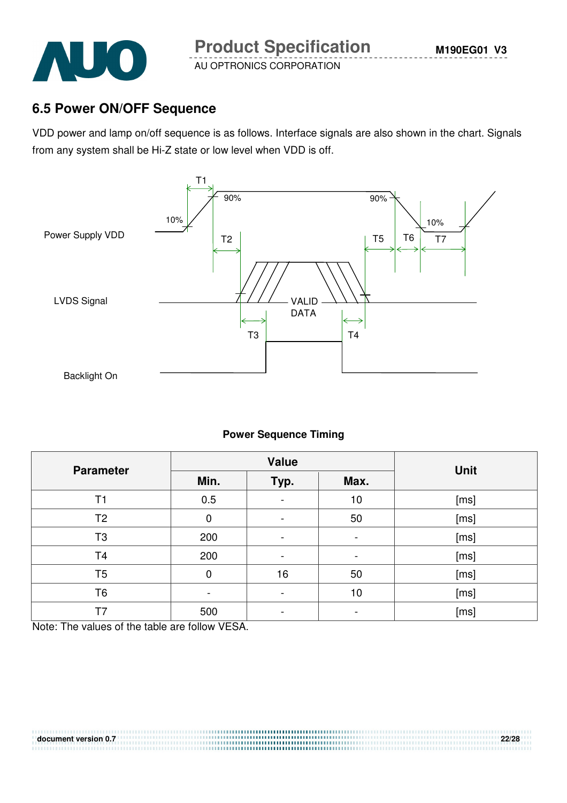

### **6.5 Power ON/OFF Sequence**

VDD power and lamp on/off sequence is as follows. Interface signals are also shown in the chart. Signals from any system shall be Hi-Z state or low level when VDD is off.



#### **Power Sequence Timing**

| <b>Parameter</b> |      | <b>Value</b>                 | <b>Unit</b>    |      |
|------------------|------|------------------------------|----------------|------|
|                  | Min. | Typ.                         | Max.           |      |
| T1               | 0.5  | $\blacksquare$               | 10             | [ms] |
| T <sub>2</sub>   | 0    | $\overline{a}$               | 50             | [ms] |
| T <sub>3</sub>   | 200  | -                            | $\blacksquare$ | [ms] |
| T <sub>4</sub>   | 200  | $\qquad \qquad \blacksquare$ | -              | [ms] |
| T <sub>5</sub>   | 0    | 16                           | 50             | [ms] |
| T6               |      | -                            | 10             | [ms] |
| T7               | 500  |                              |                | [ms] |

**document version 0.7 22/28**

Note: The values of the table are follow VESA.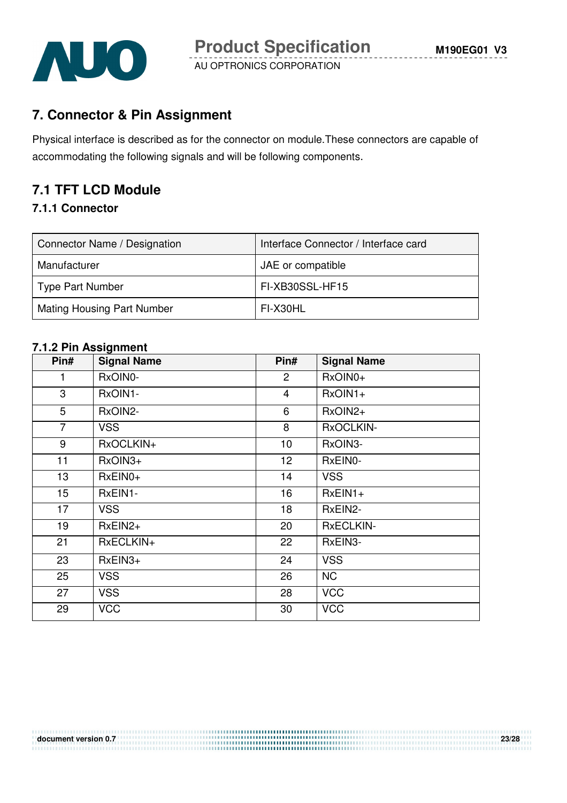

# **7. Connector & Pin Assignment**

Physical interface is described as for the connector on module.These connectors are capable of accommodating the following signals and will be following components.

# **7.1 TFT LCD Module**

#### **7.1.1 Connector**

| Connector Name / Designation      | Interface Connector / Interface card |
|-----------------------------------|--------------------------------------|
| Manufacturer                      | JAE or compatible                    |
| <b>Type Part Number</b>           | FI-XB30SSL-HF15                      |
| <b>Mating Housing Part Number</b> | FI-X30HL                             |

#### **7.1.2 Pin Assignment**

| Pin#             | <b>Signal Name</b> | Pin#            | <b>Signal Name</b> |
|------------------|--------------------|-----------------|--------------------|
| 1                | RxOIN0-            | $\overline{c}$  | RxOIN0+            |
| 3                | RxOIN1-            | $\overline{4}$  | $RxOIN1+$          |
| 5                | RxOIN2-            | 6               | RxOIN2+            |
| $\overline{7}$   | <b>VSS</b>         | 8               | RxOCLKIN-          |
| 9                | RxOCLKIN+          | 10              | RxOIN3-            |
| 11               | RxOIN3+            | 12 <sub>2</sub> | RxEIN0-            |
| 13               | RxEIN0+            | 14              | <b>VSS</b>         |
| 15 <sub>15</sub> | RxEIN1-            | 16              | $RxEIN1+$          |
| 17               | <b>VSS</b>         | 18              | RxEIN2-            |
| 19               | $RxEIN2+$          | 20              | <b>RxECLKIN-</b>   |
| 21               | RxECLKIN+          | 22              | RxEIN3-            |
| 23               | RxEIN3+            | 24              | <b>VSS</b>         |
| 25               | <b>VSS</b>         | 26              | <b>NC</b>          |
| 27               | <b>VSS</b>         | 28              | <b>VCC</b>         |
| 29               | <b>VCC</b>         | 30              | <b>VCC</b>         |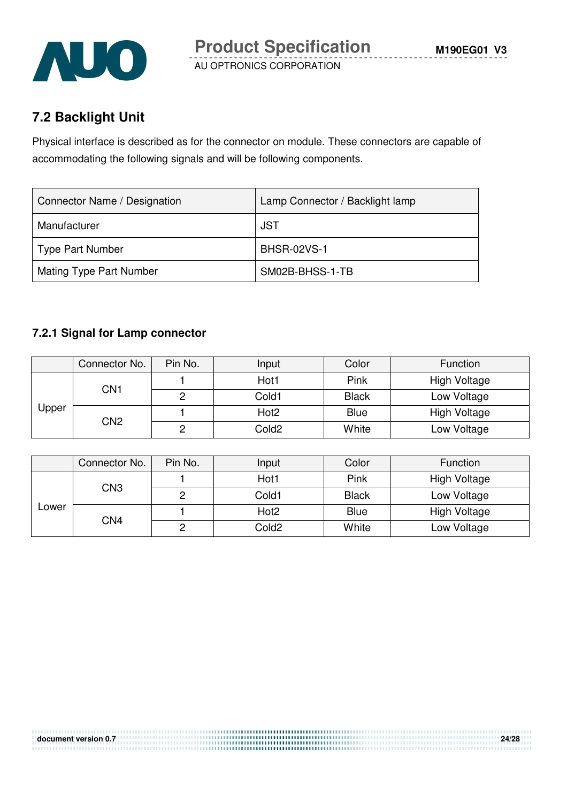

# **7.2 Backlight Unit**

Physical interface is described as for the connector on module. These connectors are capable of accommodating the following signals and will be following components.

| Connector Name / Designation   | Lamp Connector / Backlight lamp |
|--------------------------------|---------------------------------|
| Manufacturer                   | <b>JST</b>                      |
| Type Part Number               | <b>BHSR-02VS-1</b>              |
| <b>Mating Type Part Number</b> | SM02B-BHSS-1-TB                 |

#### **7.2.1 Signal for Lamp connector**

|       | Connector No.   | Pin No. | Input            | Color        | Function            |
|-------|-----------------|---------|------------------|--------------|---------------------|
| Upper | CN1             |         | Hot1             | Pink         | <b>High Voltage</b> |
|       |                 |         | Cold1            | <b>Black</b> | Low Voltage         |
|       | CN <sub>2</sub> |         | Hot <sub>2</sub> | <b>Blue</b>  | High Voltage        |
|       |                 |         | Cold2            | White        | Low Voltage         |

|       | Connector No. | Pin No. | Input            | Color        | Function            |
|-------|---------------|---------|------------------|--------------|---------------------|
| Lower | CN3           |         | Hot1             | Pink         | <b>High Voltage</b> |
|       |               | C       | Cold1            | <b>Black</b> | Low Voltage         |
|       | CN4           |         | Hot <sub>2</sub> | <b>Blue</b>  | High Voltage        |
|       |               | ◠       | Cold2            | White        | Low Voltage         |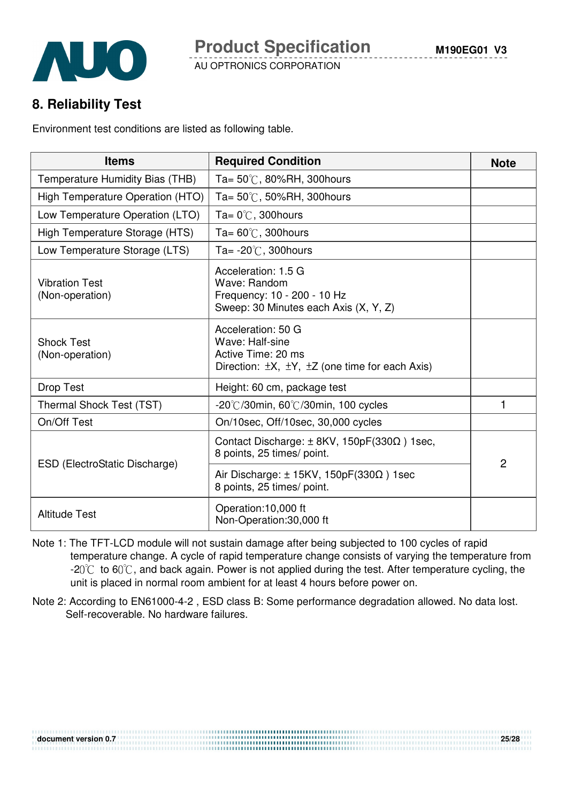## **8. Reliability Test**

Environment test conditions are listed as following table.

| <b>Items</b>                             | <b>Required Condition</b>                                                                                                      | <b>Note</b>    |
|------------------------------------------|--------------------------------------------------------------------------------------------------------------------------------|----------------|
| Temperature Humidity Bias (THB)          | Ta= $50^{\circ}$ C, 80%RH, 300 hours                                                                                           |                |
| High Temperature Operation (HTO)         | Ta= $50^{\circ}$ C, 50%RH, 300 hours                                                                                           |                |
| Low Temperature Operation (LTO)          | Ta= $0^{\circ}$ C, 300 hours                                                                                                   |                |
| High Temperature Storage (HTS)           | Ta= $60^{\circ}$ C, 300 hours                                                                                                  |                |
| Low Temperature Storage (LTS)            | Ta= $-20^{\circ}$ C, 300 hours                                                                                                 |                |
| <b>Vibration Test</b><br>(Non-operation) | Acceleration: 1.5 G<br>Wave: Random<br>Frequency: 10 - 200 - 10 Hz<br>Sweep: 30 Minutes each Axis (X, Y, Z)                    |                |
| <b>Shock Test</b><br>(Non-operation)     | Acceleration: 50 G<br>Wave: Half-sine<br>Active Time: 20 ms<br>Direction: $\pm X$ , $\pm Y$ , $\pm Z$ (one time for each Axis) |                |
| Drop Test                                | Height: 60 cm, package test                                                                                                    |                |
| Thermal Shock Test (TST)                 | $-20^{\circ}$ C/30min, 60 $^{\circ}$ C/30min, 100 cycles                                                                       | 1              |
| On/Off Test                              | On/10sec, Off/10sec, 30,000 cycles                                                                                             |                |
|                                          | Contact Discharge: $\pm$ 8KV, 150pF(330 $\Omega$ ) 1sec,<br>8 points, 25 times/ point.                                         | $\overline{2}$ |
| ESD (ElectroStatic Discharge)            | Air Discharge: $\pm$ 15KV, 150pF(330 $\Omega$ ) 1sec<br>8 points, 25 times/ point.                                             |                |
| <b>Altitude Test</b>                     | Operation:10,000 ft<br>Non-Operation:30,000 ft                                                                                 |                |

- Note 1: The TFT-LCD module will not sustain damage after being subjected to 100 cycles of rapid temperature change. A cycle of rapid temperature change consists of varying the temperature from  $-20^{\circ}$  to 60 $^{\circ}$ C, and back again. Power is not applied during the test. After temperature cycling, the unit is placed in normal room ambient for at least 4 hours before power on.
- Note 2: According to EN61000-4-2 , ESD class B: Some performance degradation allowed. No data lost. Self-recoverable. No hardware failures.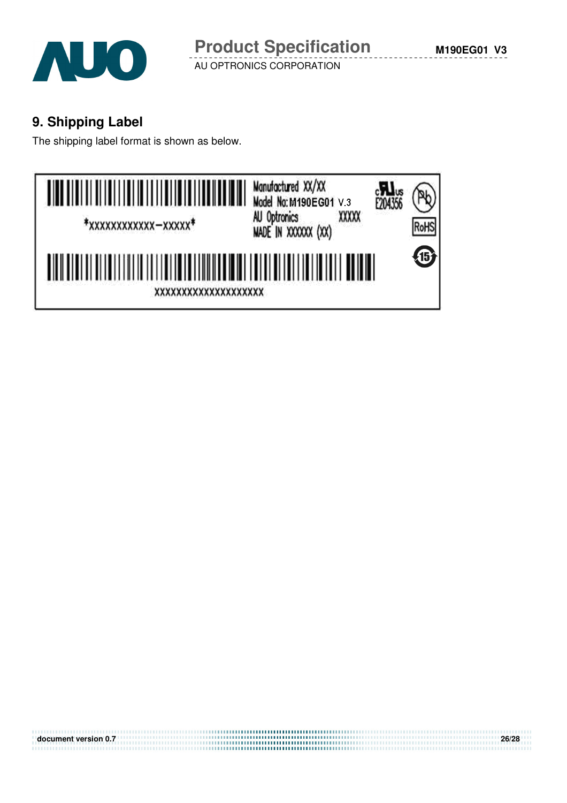

# **9. Shipping Label**

The shipping label format is shown as below.



**document version 0.7** 26/28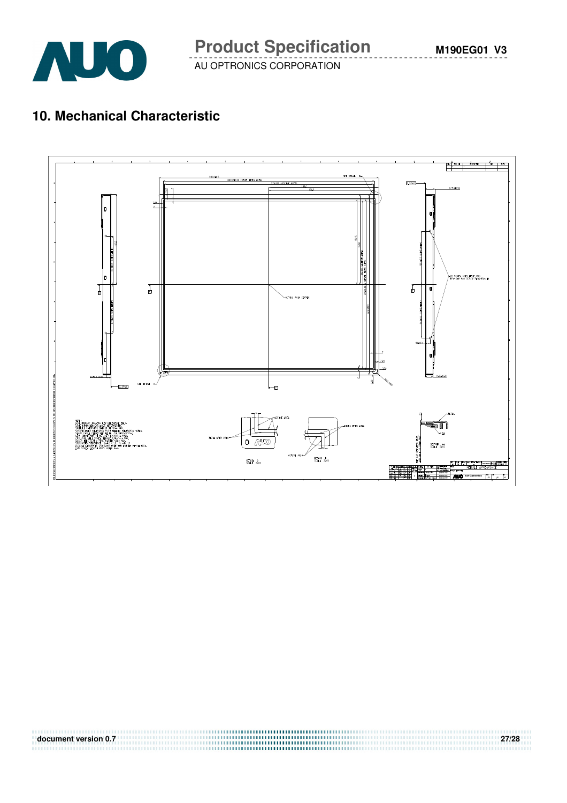# **10. Mechanical Characteristic**